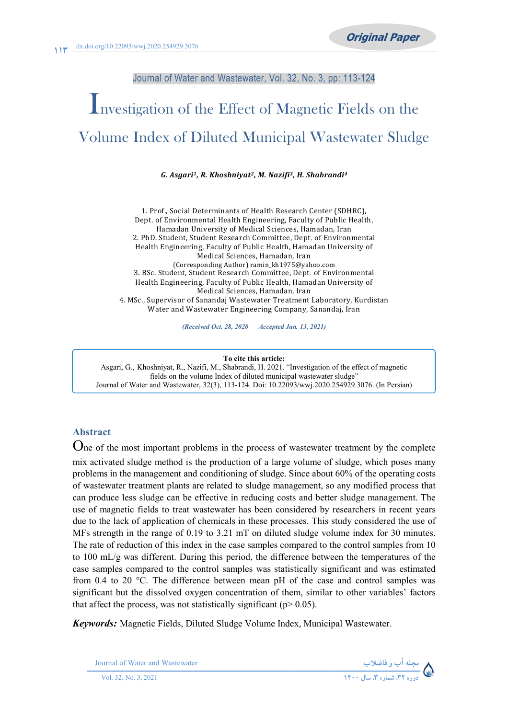#### Journal of Water and Wastewater, Vol. 32, No. 3, pp: 113-124

# Investigation of the Effect of Magnetic Fields on the Volume Index of Diluted Municipal Wastewater Sludge

#### *G. Asgari1, R. Khoshniyat2, M. Nazifi3, H. Shabrandi4*

1. Prof., Social Determinants of Health Research Center (SDHRC), Dept. of Environmental Health Engineering, Faculty of Public Health, Hamadan University of Medical Sciences, Hamadan, Iran 2. PhD. Student, Student Research Committee, Dept. of Environmental Health Engineering, Faculty of Public Health, Hamadan University of Medical Sciences, Hamadan, Iran (Corresponding Author) ramin\_kh1975@yahoo.com 3. BSc. Student, Student Research Committee, Dept. of Environmental Health Engineering, Faculty of Public Health, Hamadan University of Medical Sciences, Hamadan, Iran 4-MSc-,SupervisorofSanandajWastewaterTreatmentLaboratory,Kurdistan Water and Wastewater Engineering Company, Sanandaj, Iran

*(Received Oct. 28, 2020 Accepted Jan. 13, 2021)*

**To cite this article:**  Asgari, G., Khoshniyat, R., Nazifi, M., Shabrandi, H. 2021. "Investigation of the effect of magnetic fields on the volume Index of diluted municipal wastewater sludge" Journal of Water and Wastewater, 32(3), 113-124. Doi: 10.22093/wwj.2020.254929.3076. (In Persian)

#### **Abstract**

One of the most important problems in the process of wastewater treatment by the complete mix activated sludge method is the production of a large volume of sludge, which poses many problems in the management and conditioning of sludge. Since about 60% of the operating costs of wastewater treatment plants are related to sludge management, so any modified process that can produce less sludge can be effective in reducing costs and better sludge management. The use of magnetic fields to treat wastewater has been considered by researchers in recent years due to the lack of application of chemicals in these processes. This study considered the use of MFs strength in the range of 0.19 to 3.21 mT on diluted sludge volume index for 30 minutes. The rate of reduction of this index in the case samples compared to the control samples from 10 to 100 mL/g was different. During this period, the difference between the temperatures of the case samples compared to the control samples was statistically significant and was estimated from 0.4 to 20 °C. The difference between mean pH of the case and control samples was significant but the dissolved oxygen concentration of them, similar to other variables' factors that affect the process, was not statistically significant ( $p$  > 0.05).

*Keywords:* Magnetic Fields, Diluted Sludge Volume Index, Municipal Wastewater.

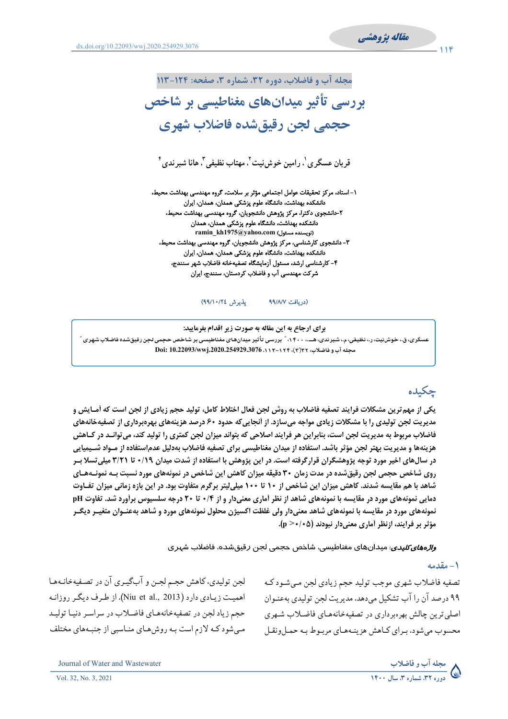

 $11f$ 



۲-دانشجوی دکترا، مرکز پژوهش دانشجویان، گروه مهندسی بهداشت محیط، دانشکده بهداشت، دانشگاه علوم پزشکی همدان، همدان ramin kh1975@yahoo.com (نويسنده مسئول) ۳- دانشجوی کارشناسی، مرکز پژوهش دانشجویان، گروه مهندسی بهداشت محیط، دانشکده بهداشت، دانشگاه علوم پزشکی همدان، همدان، ایران ۴- کارشناسی ارشد، مسئول آزمایشگاه تصفیهخانه فاضلاب شهر سنندج، شرکت مهندسی آب و فاضلاب کردستان، سنندج، ایران

> يذيرش ٢٤/١٠/٢٤) (دريافت ٩٩/٨/٧

برای ارجاع به این مقاله به صورت زیر اقدام بفرمایید: عسگری، ق.، خوشرنیت، ر.، نظیفی، م.، شبر ندی، هــ.، ۱۴۰۰، ً بررسی تأثیر میدانهای مغناطیسی بر شاخص حجمی لجن رقیقشده فاضلاب شهری آ مجله آب و فاضلاب، ۲۳(۳)، ۱۲۴–۱۱۳–2020.254929.3076 Doi: 10.22093/wwj.2020.254929

# جكيده

یکی از مهم ترین مشکلات فرایند تصفیه فاضلاب به روش لجن فعال اختلاط کامل، تولید حجم زیادی از لجن است که آمـایش و مدیریت لجن تولیدی را با مشکلات زیادی مواجه میسازد. از آنجاییکه حدود ۶۰ درصد هزینههای بهرهبرداری از تصفیهخانههای فاضلاب مربوط به مدیریت لجن است، بنابراین هر فرایند اصلاحی که بتواند میزان لجن کمتری را تولید کند، می توانـد در کـاهش هزينهها و مديريت بهتر لجن مؤثر باشد. استفاده از ميدان مغناطيسي براي تصفيه فاضلاب بهدليل عدم|ستفاده از مـواد شــيميايي در سالهای اخیر مورد توجه پژوهشگران قرارگرفته است. در این پژوهش با استفاده از شدت میدان ۰/۱۹ تا ۳/۲۱ میلی تسلا بـر روی شاخص حجمی لجن رقیقشده در مدت زمان ۳۰ دقیقه میزان کاهش این شاخص در نمونههای مورد نسبت بـه نمونـههـای شاهد با هم مقایسه شدند. کاهش میزان این شاخص از ۱۰ تا ۱۰۰ میلیلیتر برگرم متفاوت بود. در این بازه زمانی میزان تفـاوت دمایی نمونههای مورد در مقایسه با نمونههای شاهد از نظر آماری معنیدار و از ۰/۴ تا ۲۰ درجه سلسیوس برآورد شد. تفاوت pH نمونههای مورد در مقایسه با نمونههای شاهد معنیدار ولی غلظت اکسیژن محلول نمونههای مورد و شاهد بهعنــوان متغیــر دیگــر مؤثر بر فرایند، ازنظر آماری معنیدار نبودند (۵ +/ +< p).

*واڈەھای کلیدی*: میدانھای مغناطیسی، شاخص حجمی لجن *ر*قیقشده، فاضلاب شہری

#### ١- مقدمه

تصفیه فاضلاب شهری موجب تولید حجم زیادی لجن می شـود کـه ۹۹ درصد آن را آب تشکیل می دهد. مدیریت لجن تولیدی بهعنـوان اصلي ترين چالش بهرهبرداري در تصفيهخانههـاي فاضـلاب شـهري محسوب می شود. بـرای کـاهش هزینـههـای مربـوط بـه حمـل ونقـل

لجن تولیدي، كاهش حجم لجـن و آبگیـري آن در تصـفیهخانـههـا اهمیت زیادی دارد (Niu et al., 2013). از طرف دیگر روزانـه حجم زیاد لجن در تصفیهخانههای فاضلاب در سراسر دنیا تولید مبی شود کـه لازم است بـه روش هـای منـاسبی از جنبـههای مختلف

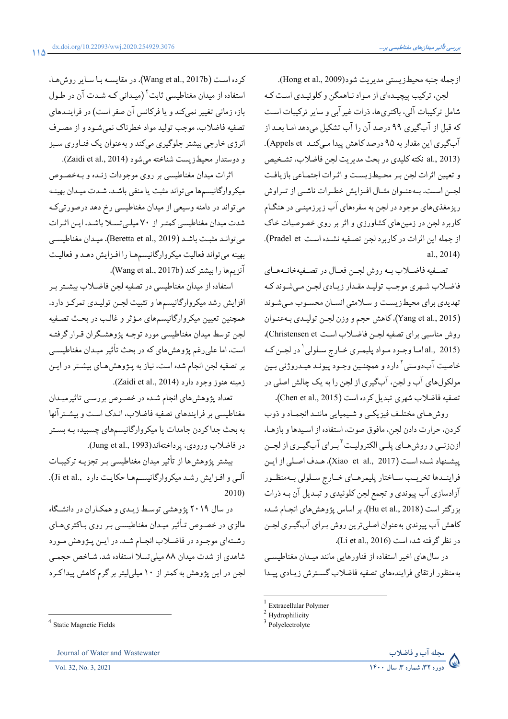ازجمله جنبه محيطزيستي مديريت شود(Hong et al., 2009).

لجن، ترکیب پیچیـدهای از مـواد نـاهمگن و کلوئیـدی اسـت کـه شامل ترکیبات آلی، باکتریها، ذرات غیرآبی و سایر ترکیبات است که قبل از آبگیری ۹۹ درصد آن را آب تشکیل می،دهد امـا بعـد از آب گیری این مقدار به ۹۵ درصد کاهش پیدا مے کنـد Appels et). al., 2013) نكته كليدي در بحث مديريت لجن فاضلاب، تشخيص و تعیین اثرات لجن بر محیطزیست و اثرات اجتماعی بازیافت لجـن اسـت. بـهعنـوان مثـال افـزايش خطـرات ناشـى از تـراوش ریزمغذیهای موجود در لجن به سفرههای آب زیرزمینـی در هنگـام کاربرد لجن در زمینهای کشاورزی و اثر بر روی خصوصیات خاک از حمله این اثرات در کاربرد لحن تصنفه نشیده است Pradel et). al., 2014)

تصـفيه فاضـلاب بـه روش لجـن فعـال در تصـفيهخانـههـاي فاضلاب شهری موجب تولید مقیدار زیبادی لجین می شوند کیه تهدیدی برای محیطزیست و سلامتی انسان محسوب میشوند (Yang et al., 2015). كاهش حجم و وزن لجـن توليـدي بـهعنـوان روش مناسبي براي تصفيه لجـن فاضـلاب اسـت Christensen et)، (al., 2015) اما وجـود مـواد پليمـري خـارج سـلولي `در لجـن كـه خاصيت آبدوستي<sup>٬</sup> دارد و همچنـين وجـود پيونـد هيـدروژني بـين مولکولهای آب و لجن، آبگیری از لجن را به یک چالش اصلی در تصفيه فاضلاب شهري تبديل كرده است (Chen et al., 2015).

روش هبای مختلیف فیزیکسی و شبیمیایی ماننید انجمیاد و ذوب كردن، حرارت دادن لجن، مافوق صوت، استفاده از اسـيدها و بازهـا، ازنزنـی و روشهـای پلـی الکترولیـت<sup>۳</sup>بـرای آبگیـری از لجـن ييشنهاد شـده اسـت (Xiao et al., 2017). هـدف اصـلي از ايـن فراينـدها تخريـب سـاختار پليمرهـاي خـارج سـلولي بـهمنظـور آزادسازي آب پيوندي و تجمع لجن كلوئيدي و تبـديل آن بـه ذرات بزرگتر است (Hu et al., 2018). بر اساس پژوهشهای انجـام شـده كاهش آب پيوندي بهعنوان اصلي ترين روش بـراي آبگيـري لجـن در نظر گرفته شده است (Li et al., 2016).

در سالهای اخیر استفاده از فناورهایی مانند میـدان مغناطیسـی بهمنظور ارتقاى فرايندههاى تصفيه فاضلاب گسترش زيبادى پيدا

<sup>&</sup>lt;sup>3</sup> Polyelectrolyte



كرده است (Wang et al., 2017b). در مقايسـه بـا سـاير روش هـا، استفاده از میدان مغناطیسی ثابت<sup>۴</sup> (میـدانی کـه شـدت آن در طـول بازه زمانی تغییر نمی کند و یا فرکانس آن صفر است) در فراینـدهای تصفيه فاضلاب، موجب توليد مواد خطرناك نمى شـود و از مصـرف انرژی خارجی بیشتر جلوگیری میکند و بهعنوان یک فنـاوری سـبز و دوستدار محيطزيست شناخته مي شود (Zaidi et al., 2014).

اثرات میدان مغناطیسی بر روی موجودات زنـده و بـهخصـوص میکروارگانیسمها می تواند مثبت یا منفی باشد. شدت میدان بهینـه می تواند در دامنه وسیعی از میدان مغناطیسی رخ دهد درصورتیکه شدت میدان مغناطیسی کمتـر از ۷۰ میلـی تسـلا باشـد، ایـن اثـرات مي توانيد مثبت باشيد (Beretta et al., 2019). مييدان مغناطيسي بهینه میتواند فعالیت میکروارگانیسمها را افزایش دهـد و فعالیـت آنزيمها را بيشتر كند (Wang et al., 2017b).

استفاده از میدان مغناطیسی در تصفیه لجن فاضلاب بیشتر ب افزایش رشد میکروارگانیسمها و تثبیت لجـن تولیـدی تمرکـز دارد. همچنین تعیین میکروارگانیسمهای مؤثر و غالب در بحث تصفیه لجن توسط میدان مغناطیسی مورد توجـه پژوهشـگران قـرار گرفتـه است، اما علی رغم پژوهش های که در بحث تأثیر میـدان مغناطیسـی بر تصفیه لجن انجام شده است، نیاز به پـژوهش هـای بیشـتر در ایـن زمينه هنوز وجود دارد (Zaidi et al., 2014).

تعداد پژوهش های انجام شده در خصوص بررسـي تاثيرميـدان مغناطیسی بر فرایندهای تصفیه فاضلاب، انـدک اسـت و بیشـترآنها به بحث جدا کردن جامدات یا میکروارگانیسمهای چسبیده بـه بسـتر در فاضلاب ورودي، يرداختهاند(Jung et al., 1993).

بیشتر پژوهش ها از تأثیر میدان مغناطیسی ببر تجزیبه ترکیبیات آلبی و افیزایش رشید میکروارگانیسیدها حکایت دارد ,Ji et al.).  $2010$ 

در سال ۲۰۱۹ پژوهشی توسط زیـدی و همکـاران در دانشـگاه مالزی در خصوص تـأثیر میـدان مغناطیسـی بـر روی بـاکتریهـای رشتهای موجـود در فاضـلاب انجـام شـد. در ايـن پـژوهش مـورد شاهدی از شدت میدان ۸۸ میلی تسلا استفاده شد. شـاخص حجمـی لجن در این پژوهش به کمتر از ۱۰ میلی لیتر بر گرم کاهش پیدا کـرد

 $1$  Extracellular Polymer

 $2$  Hydrophilicity

<sup>&</sup>lt;sup>4</sup> Static Magnetic Fields

Journal of Water and Wastewater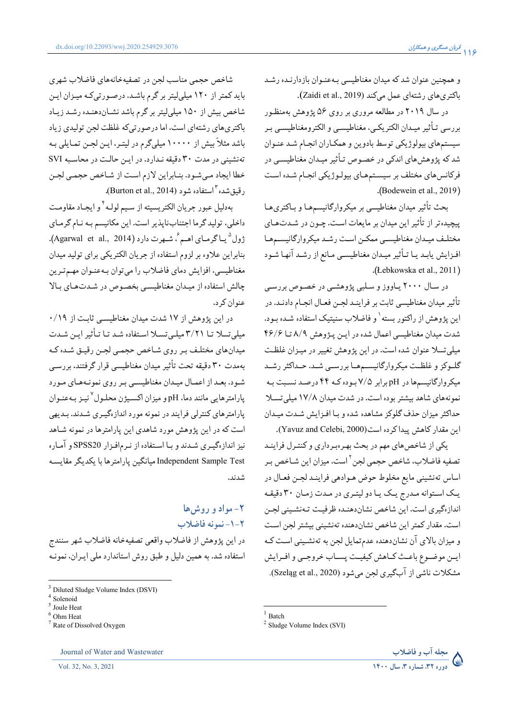و همچنین عنوان شد که میدان مغناطیسی بهعنـوان بازدارنـده رشـد باكترى هاى رشتهاى عمل مى كند (Zaidi et al., 2019).

در سال ۲۰۱۹ در مطالعه مروری بر روی ۵۶ پژوهش بهمنظور بررسي تـأثير ميـدان الكتريكـي، مغناطيسـي و الكترومغناطيسـي بـر سیستمهای بیولوژیکی توسط بادوین و همکـاران انجـام شـد عنـوان شد که پژوهشهای اندکی در خصوص تـأثیر میـدان مغناطیسـی در فرکانس های مختلف بر سیستمهای بیولوژیکی انجام شده است .(Bodewein et al., 2019).

بحث تأثير ميدان مغناطيسي بر ميكروارگانيسمهـا و بـاكترىهـا پیچیده تر از تأثیر این میدان بر مایعات است. چـون در شـدتهـای مختلف میدان مغناطیسبی ممکن است رشد میکروارگانیسمها افـزايش يابـد يـا تـأثير ميـدان مغناطيسـي مـانع از رشـد آنهـا شـود .(Łebkowska et al., 2011)

در سال ۲۰۰۰ پاووز و سلبي پژوهشي در خصوص بررسي تأثير ميدان مغناطيسي ثابت بر فراينـد لجـن فعـال انجـام دادنـد. در این پژوهش از راکتور بسته<sup>۱</sup> و فاضلاب سنیتیک استفاده شـده بـود. شدت میدان مغناطیسی اعمال شده در این پژوهش ۸/۹ تا ۴۶/۶ میلی تسلا عنوان شده است. در این پژوهش تغییر در میـزان غلظـت گلـوکز و غلظـت میکروارگانیســمهــا بررســي شــد. حــداکثر رشــد میکروارگانیسمها در pH برابر ۷/۵ بوده کـه ۴۴ درصـد نسـبت بـه نمونههای شاهد بیشتر بوده است. در شدت میدان ۱۷/۸ میلی تسلا حداكثر ميزان حذف گلوكز مشاهده شده و بـا افـزايش شـدت ميـدان این مقدار کاهش پیدا کرده است(Yavuz and Celebi, 2000).

یکی از شاخص های مهم در بحث بهرهبرداری و کنتـرل فراینـد تصفيه فاضلاب، شاخص حجمي لجن<sup>٢</sup> است. ميزان اين شـاخص بـر اساس تەنشينى مايع مخلوط حوض هـوادهى فراينـد لجـن فعـال در يـک اسـتوانه مـدرج يـک يـا دو ليتـرى در مـدت زمـان ٣٠ دقيقـه اندازهگیری است. این شاخص نشاندهنـده ظرفیـت تـهنشـینی لجـن است. مقدار كمتر اين شاخص نشاندهنده تهنشيني بيشتر لجن است و میزان بالای آن نشاندهنده عدمتمایل لجن به تهنشینی است ک ايــن موضــوع باعــث كــاهش كيفيــت يســاب خروجــى و افــرايش مشكلات ناشي از آبگيري لجن مي شود (Szeląg et al., 2020).

شاخص حجمي مناسب لجن در تصفيهخانههاي فاضلاب شهري باید کمتر از ۱۲۰ میلی لیتر بر گرم باشد. درصورتیکه میـزان ایـن شاخص بیش از ۱۵۰ میلی لیتر بر گرم باشد نشـاندهنده رشـد زیـاد باکتری های رشتهای است، اما درصورتی که غلظت لجن تولیدی زیاد باشد مثلاً بیش از ۱۰۰۰۰ میلیگرم در لیتـر، ایـن لجـن تمـایلی بـه تهنشینی در مدت ۳۰ دقیقه نـدارد. در ایـن حالـت در محاسـبه SVI خطا ایجاد میشود. بنـابراین لازم است از شـاخص حجمـی لجـن رقيق شده "استفاده شو د (Burton et al., 2014).

بهدليل عبور جريان الكتريسيته از سيم لولـه أ و ايجـاد مقاومـت داخلی، تولید گرما اجتنابناپذیر است. این مکانیسم بـه نـام گرمـای ژول<sup>0</sup> یبا گرمیای اهیم <sup>م</sup>، شبهرت دارد (Agarwal et al., 2014). بنابراین علاوه بر لزوم استفاده از جریان الکتریکی برای تولید میدان مغناطیسی، افزایش دمای فاضلاب را می توان به عنـوان مهـم تـرین چالش استفاده از میدان مغناطیسے بخصوص در شدتهای بالا عنوان كرد.

در این پژوهش از ۱۷ شدت میدان مغناطیسبی ثابت از ۰/۱۹ میلی تسلا تـا ۳/۲۱ میلـی تسـلا اسـتفاده شـد تـا تـأثیر ایـن شـدت میدان های مختلف بر روی شاخص حجمبی لجـن رقیـق شـده کـه بهمدت ٣٠ دقيقه تحت تأثير ميدان مغناطيسي قرار گرفتند، بررسـي .<br>شـود. بعـد از اعمـال ميـدان مغناطيسـي بـر روي نمونـههـاي مـورد يارامترهايي مانند دما، pH و ميزان اكسيژن محلـول<sup>٧</sup>نيـز بـهعنـوان پارامترهای کنترلی فرایند در نمونه مورد اندازهگیـری شـدند. بـدیهی است که در این پژوهش مورد شاهدی این پارامترها در نمونه شـاهد نیز اندازهگیری شدند و با استفاده از نرمافزار SPSS20 و آماره Independent Sample Test ميانگين يارامترها با يكديگر مقايسـه شدند.

٢- مواد و روش ها ٢-١- نمونه فاضلاب در اين پژوهش از فاضلاب واقعي تصفيهخانه فاضلاب شهر سنندج استفاده شد. به همین دلیل و طبق روش استاندارد ملی ایـران، نمونـه



 $1$  Batch

 $2$  Sludge Volume Index (SVI)

<sup>&</sup>lt;sup>3</sup> Diluted Sludge Volume Index (DSVI)

Solenoid

Joule Heat

Ohm Heat

Rate of Dissolved Oxygen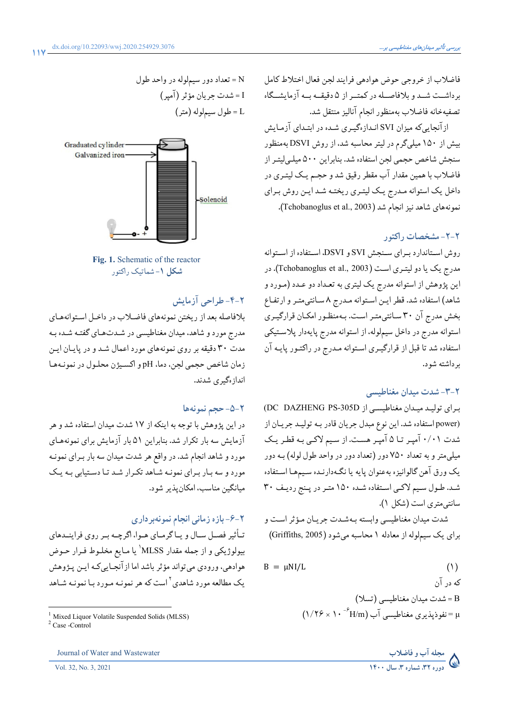فاضلاب از خروجي حوض هوادهي فرايند لجن فعال اختلاط كامل برداشــت شــد و بلافاصــله در كمتــر از ۵ دقيقــه بــه آزمايشــگاه تصفيهخانه فاضلاب بهمنظور انجام آناليز منتقل شد.

ازآنجایی که میزان SVI انـدازهگیـری شـده در ابتـدای آزمـایش بیش از ۱۵۰ میلیگرم در لیتر محاسبه شد، از روش DSVI بهمنظور سنجش شاخص حجمی لجن استفاده شد. بنابراین ۵۰۰ میلـی/یتـر از فاضلاب با همین مقدار آب مقطر رقیق شد و حجـم یـک لیتـری در داخل یک استوانه مـدرج یـک لیتـری ریختـه شـد ایـن روش بـرای نمونههاي شاهد نيز انجام شد (Tchobanoglus et al., 2003).

#### ۲-۲- مشخصات راکتور

روش استاندارد براي سنجش SVI و DSVI، استفاده از استوانه مدرج یک یا دو لیتـری اسـت (Tchobanoglus et al., 2003). در این پژوهش از استوانه مدرج یک لیتری به تعـداد دو عـدد (مـورد و شاهد) استفاده شد. قطر ايـن اسـتوانه مـدرج ٨ سـانتي متـر و ارتفـاع بخش مدرج آن ۳۰ سانتیمتر است. بـهمنظـور امکـان قرارگیـری استوانه مدرج در داخل سیملوله، از استوانه مدرج پایهدار پلاستیکی استفاده شد تا قبل از قرارگیـري اسـتوانه مـدرج در راكتـور پايـه آن ىر داشتە شو د.

#### ۲-۳- شدت میدان مغناطیسی

براي توليد ميدان مغناطيسي از DC DAZHENG PS-305D (power استفاده شد. این نوع مبدل جریان قادر بـه تولیـد جریـان از شدت ۰/۰۱ آمپـر تـا ۵ آمپـر هسـت. از سـيم لاكـي بـه قطـر يـك میلی متر و به تعداد ۷۵۰ دور (تعداد دور در واحد طول لوله) بـه دور يک ورق آهن گالوانيزه بهعنوان يايه يا نگـهدارنـده سـيمهـا اسـتفاده شد. طول سیم لاکی استفاده شده ۱۵۰ متر در پنج ردیف ۳۰ سانتے متری است (شکل ۱).

شدت میدان مغناطیسی وابسته بـهشـدت جریـان مـؤثر اسـت و برای یک سیملوله از معادله ۱ محاسبه میشود (Griffiths, 2005)

$$
B = \mu NI/L \tag{1}
$$





## ۲-۴- طراحی آزمایش

بلافاصله بعد از ريختن نمونههاي فاضلاب در داخـل اسـتوانههـاي مدرج مورد و شاهد، میدان مغناطیسی در شـدتهـای گفتـه شـده بـه مدت ۳۰ دقیقه بر روی نمونههای مورد اعمال شد و در پایان ایـن زمان شاخص حجمي لجن، دما، pH و اكسيژن محلـول در نمونـههـا انداز ،گیری شدند.

#### ٢-٥- حجم نمونهها

در این پژوهش با توجه به اینکه از ۱۷ شدت میدان استفاده شد و هر آزمایش سه بار تکرار شد. بنابراین ۵۱ بار آزمایش برای نمونههـای مورد و شاهد انجام شد. در واقع هر شدت میدان سه بار بـرای نمونـه مورد و سه بار برای نمونـه شـاهد تکـرار شـد تـا دسـتیابی بـه یـک میانگین مناسب، امکان پذیر شود.

#### ۲-۶-بازه زمانی انجام نمونهبر داری

تـأثیر فصـل سـال و یـاگرمـای هـوا، اگرچـه بـر روی فراینــدهای بیولوژیکی و از جمله مقدار MLSS' یا مـایع مخلـوط فـرار حـوض هوادهي، ورودي مي تواند مؤثر باشد اما از آنجـايي كـه ايـن پـڅوهش یک مطالعه مورد شاهدی <sup>۲</sup> است که هر نمونـه مـورد بـا نمونـه شـاهد



Mixed Liquor Volatile Suspended Solids (MLSS)

 $2$  Case -Control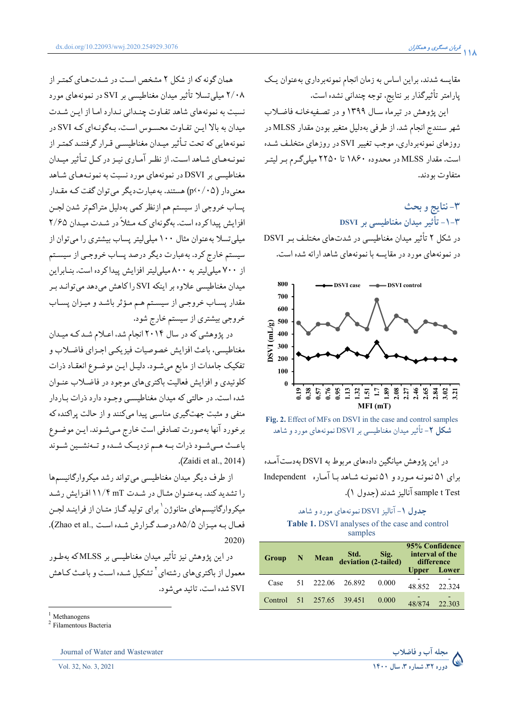همان گونه که از شکل ۲ مشخص است در شـدتهـای کمتـر از ۲/۰۸ میلم تسلا تأثیر میدان مغناطیسی بر SVI در نمونههای مورد نسبت به نمونههای شاهد تفـاوت چنـدانی نـدارد امـا از ایـن شـدت میدان به بالا این تفیاوت محسوس است، پیگونیهای کیه SVI در نمونههایی که تحت تـأثیر میـدان مغناطیسـی قـرار گرفتنـد کمتـر از نمونـههـای شـاهداسـت. از نظـر آمـاری نیـز در کـل تـأثیر میـدان مغناطیسی بر DSVI در نمونههای مورد نسبت به نمونـههـای شـاهد معنی دار (p<۰/۰۵) هستند. به عبارت دیگر می توان گفت کـه مقـدار پساب خروجي از سيستم هم ازنظر كمي بهدليل متراكم تر شدن لجـن افزایش پیدا کرده است. بهگونهای کـه مـثلاً در شـدت میـدان ۲/۶۵ میلی تسلا بهعنوان مثال ۱۰۰ میلی لیتر پساب بیشتری را می توان از سیستم خارج کرد. بهعبارت دیگر درصد پساب خروجبی از سیستم از ۷۰۰ میلی لیتر به ۸۰۰ میلی لیتر افزایش پیداکرده است. بنـابراین میدان مغناطیسی علاوه بر اینکه SVI را کاهش می دهد می توانید ب مقدار پسـاب خروجـي از سيسـتم هـم مـؤثر باشـد و ميـزان پسـاب خروجي بيشتري از سيستم خارج شود.

در پژوهشی که در سال ۲۰۱۴ انجام شد، اعـلام شـد کـه میـدان مغناطيسي، باعث افزايش خصوصيات فيزيكيي اجـزاي فاضـلاب و تفکیک جامدات از مایع میشود. دلیل این موضوع انعقاد ذرات کلوئیدی و افزایش فعالیت باکتریهای موجود در فاضلاب عنـوان شده است. در حالتی که میدان مغناطیسبی وجـود دارد ذرات بـاردار منفی و مثبت جهتگیری مناسبی پیدا میکنند و از حالت پراکنده که برخورد آنها بهصورت تصادفي است خارج مي شـوند. ايـن موضـوع باعـث مـىشـود ذرات بـه هـم نزديـك شـده و تـهنشـين شـوند .(Zaidi et al.,  $2014$ )

از طرف دیگر میدان مغناطیسی می تواند رشد میکروارگانیسمها را تشدید کند. به عنـوان مثـال در شـدت ۱۱/۴ mT افـزایش رشـد میکروارگانیسمهای متانوژن <sup>۱</sup> برای تولید گـاز متـان از فراینـد لجـن فعـال بـه ميـزان ٨٥/٥ درصـد گـزارش شـده است ..Zhao et al).  $2020$ 

در این پژوهش نیز تأثیر میدان مغناطیسی بر MLSS که بهطـور معمول از باکتریهای رشتهای<sup>۲</sup> تشکیل شـده اسـت و باعـث کـاهش SVI شده است، تائید می شود.

Journal of Water and Wastewater

Vol. 32, No. 3, 2021

مقایسه شدند، براین اساس به زمان انجام نمونهبرداری بهعنوان یک یارامتر تأثیرگذار بر نتایج، توجه چندانی نشده است.

این پژوهش در تیرماه سـال ۱۳۹۹ و در تصـفیهخانـه فاضـلاب شهر سنندج انجام شد. از طرفی بهدلیل متغیر بودن مقدار MLSS در روزهای نمونهبرداری، موجب تغییر SVI در روزهای متخلف شده است. مقدار MLSS در محدوده ۱۸۶۰ تا ۲۲۵۰ میلیگرم بـر لیتـر متفاوت بودند.

۳-نتايج و بحث ۳-۱- تأثیر میدان مغناطیسے پر DSVI در شکل ۲ تأثیر میدان مغناطیسی در شدتهای مختلف بر DSVI در نمونههای مورد در مقایسه با نمونههای شاهد ارائه شده است.



Fig. 2. Effect of MFs on DSVI in the case and control samples **شکل ۲**– تأثیر میدان مغناطیسی بر DSVI نمونههای مورد و شاهد

در این یژوهش میانگین دادههای مربوط به DSVI بهدستآمده برای ۵۱ نمونـه مـورد و ۵۱ نمونـه شـاهد بـا آمـاره Independent sample t Test آنالیز شدند (جدول ۱).

## جدول ۱- آنالیز DSVI نمونههای مورد و شاهد

Table 1. DSVI analyses of the case and control samples

| <b>Group</b> | $\blacksquare$ | Mean | Std. Sig.<br>deviation (2-tailed) |       | 95% Confidence<br>interval of the<br>difference<br><b>Upper</b> | <b>Lower</b> |
|--------------|----------------|------|-----------------------------------|-------|-----------------------------------------------------------------|--------------|
| Case         |                |      | 51 222.06 26.892                  | 0.000 | 48.852                                                          | 22.324       |
| Control      |                |      | 51 257.65 39.451                  | 0.000 | 48/874                                                          | 22.303       |



Methanogens

<sup>&</sup>lt;sup>2</sup> Filamentous Bacteria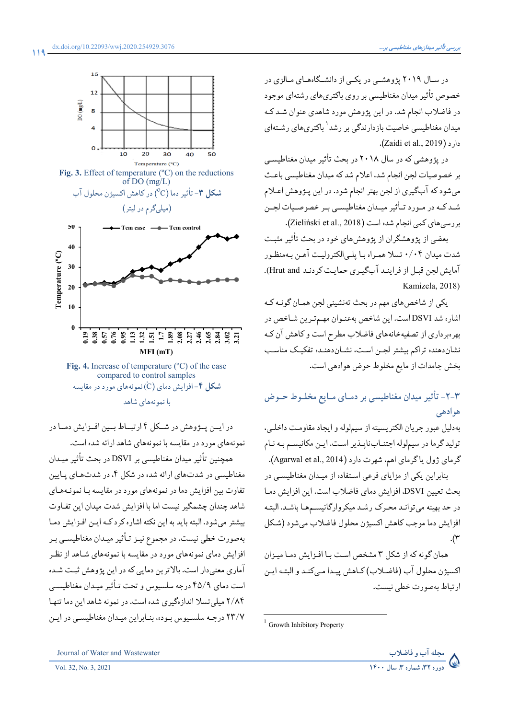در سـال ۲۰۱۹ پژوهشـی در یکـی از دانشـگاههـای مـالزی در خصوص تأثیر میدان مغناطیسی بر روی باکتریهای رشتهای موجود در فاضلاب انجام شد. در این پژوهش مورد شاهدی عنوان شـد کـه میدان مغناطیسی خاصیت بازدارندگی بر رشد<sup>۱</sup> باکتریهای رشـتهای دارد (Zaidi et al., 2019).

در پژوهشی که در سال ۲۰۱۸ در بحث تأثیر میدان مغناطیسبی بر خصوصیات لجن انجام شد، اعلام شد که میدان مغناطیسی باعث می شود که آبگیری از لجن بهتر انجام شود. در این پـژوهش اعـلام شـد کـه در مـورد تـأثیر میـدان مغناطیسـي بـر خصوصـیات لجـن بررسی های کمی انجام شده است (Zieliński et al., 2018).

بعضی از یژوهشگران از یژوهش های خود در بحث تأثیر مثبت شدت میدان ۰/۰۴ تسلا همـراه بـا پلـی|لکترولیـت آهـن بـهمنظـور آمایش لجن قبـل از فراینـد آبگیـری حمایـت کردنـد Hrut and). Kamizela, 2018)

یکی از شاخص های مهم در بحث تهنشینی لجن همـان گونـه کـه اشاره شد DSVI است. این شاخص بهعنـوان مهـمتـرین شـاخص در بهرهبرداری از تصفیهخانههای فاضلاب مطرح است و کاهش آن کـه نشاندهنده تراكم بيشتر لجـن اسـت، نشـاندهنـده تفكيـك مناسـب بخش جامدات از مايع مخلوط حوض هوادهي است.

# ۲-۲- تأثیر میدان مغناطیسی بر دمـای مـایع مخلـوط حـوض ھو ادھے ،

بهدلیل عبور جریان الکتریسیته از سیملوله و ایجاد مقاومت داخلبی، تولید گرما در سیملوله اجتنـابناپـذیر اسـت. ایـن مکانیسـم بـه نـام گرمای ژول یا گرمای اهم، شهرت دارد (Agarwal et al., 2014).

بنابراین یکی از مزایای فرعی استفاده از میـدان مغناطیسـی در بحث تعيين DSVI، افزايش دماي فاضلاب است. اين افزايش دمـا در حد بهينه مي توانـد محـرک رشـد ميکروارگانيسـمهـا باشـد. البتـه افزايش دما موجب كاهش اكسيژن محلول فاضلاب مي شود (شكل  $\cdot$  (۳)

همان گونه كه از شكل ٣ مشخص است با افـزايش دمـا ميـزان اكسيژن محلول آب (فاضلاب) كـاهش ييـدا مـى كنـد و البتـه ايـن ارتباط بەصورت خطی نیست.



compared to control samples **شکل ۴**-افزایش دمای (Č) نمونههای مورد در مقایسه با نمونههای شاهد

در ایــن پــژوهش در شــكل ۴ ارتبــاط بــين افــزايش دمــا در نمونههای مورد در مقایسه با نمونههای شاهد ارائه شده است.

همچنین تأثیر میدان مغناطیسی بر DSVI در بحث تأثیر میـدان مغناطیسی در شدتهای ارائه شده در شکل ۴، در شدتهای پایین تفاوت بین افزایش دما در نمونههای مورد در مقایسه بـا نمونـههـای شاهد چندان چشمگیر نیست اما با افزایش شدت میدان این تفاوت بیشتر میشود. البته باید به این نکته اشاره کرد کـه ایـن افـزایش دمـا بهصورت خطي نيست. در مجموع نيـز تـأثير ميـدان مغناطيسـي بـر افزایش دمای نمونههای مورد در مقایسه با نمونههای شـاهد از نظـر آماري معني دار است. بالاترين دمايي كه در اين پژوهش ثبت شـده است دمای ۴۵/۹ درجه سلسیوس و تحت تـأثیر میـدان مغناطیسـی ۲/۸۴ میلی تسلا اندازهگیری شده است. در نمونه شاهد این دما تنها ٢٣/٧ درجـه سلسـيوس بـوده، بنـابراين ميـدان مغناطيسـي در ايـن

<sup>&</sup>lt;sup>1</sup> Growth Inhibitory Property

مجله آب و فاضلاب ر<br>دوره ۳۲، شماره ۳، سال ۱۴۰۰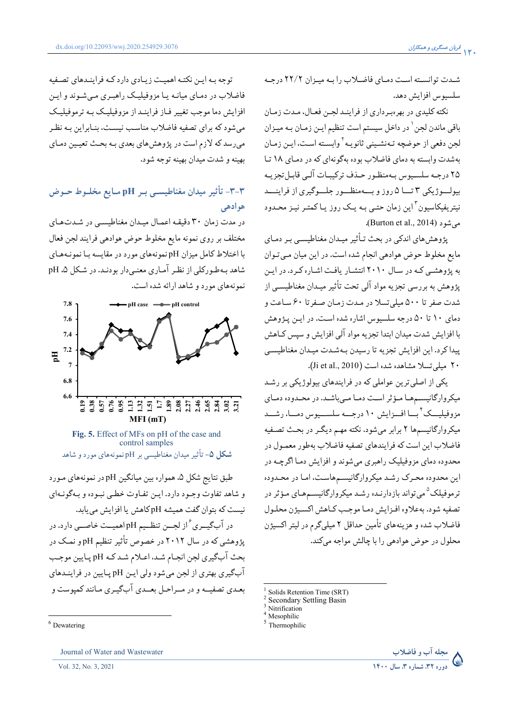شـدت توانسـته اسـت دمـاي فاضـلاب را بـه ميـزان ٢٢/٢ درجـه سلسيوس افزايش دهد.

نکته کلیدی در بهرهبرداری از فراینـد لجـن فعـال، مـدت زمـان باقی ماندن لجن <sup>۱</sup> در داخل سیستم است تنظیم ایـن زمـان بـه میـزان لجن دفعي از حوضچه تـهنشـيني ثانويـه<sup>٢</sup>وابسـته اسـت، ايـن زمـان بهشدت وابسته به دمای فاضلاب بوده بهگونهای که در دمای ۱۸ تا ۲۵ درجـه سلسـيوس بـهمنظـور حـذف تركيبـات آلـي قابـل تجزيـه بيولسوژيکي ٣ تسا ٥ روز و بسهمنظسور جلسوگيري از فراينسد نیتریفیکاسیون<sup>۳</sup>این زمان حتبی بـه یـک روز یـاکمتـر نیـز محـدود مہ شود (Burton et al., 2014).

پژوهش های اندکی در بحث تـأثیر میـدان مغناطیسـی بـر دمـای مایع مخلوط حوض هوادهی انجام شده است. در این میان میتوان به پژوهشی کـه در سـال ۲۰۱۰ انتشـار یافـت اشـاره کـرد. در ایـن یژوهش به بررسی تجزیه مواد آلی تحت تأثیر میـدان مغناطیسـی از شدت صفر تا ۵۰۰ میلی تسلا در مـدت زمـان صـفرتا ۶۰ سـاعت و دمای ۱۰ تا ۵۰ درجه سلسیوس اشاره شده است. در ایـن پـژوهش با افزایش شدت میدان ابتدا تجزیه مواد آلی افزایش و سپس کـاهش ييدا كرد. اين افزايش تجزيه تا رسيدن بـهشـدت ميـدان مغناطيسـي ٢٠ ميلي تسلا مشاهده شده است (Ji et al., 2010).

یکی از اصلی ترین عواملی که در فرایندهای بیولوژیکی بر رشـد میکروارگانیسـمهـا مـؤثر اسـت دمـا مـی باشـد. در محـدوده دمـای مزوفیلیـــک ٔ بــا افــزایش ۱۰ درجـــه سلســـیوس دمــا، رشـــد میکروارگانیسمها ۲ برابر میشود. نکته مهـم دیگـر در بحـث تصـفیه فاضلاب اين است كه فرايندهاي تصفيه فاضلاب بهطور معمـول در محدوده دمای مزوفیلیک راهبری میشوند و افزایش دمـا اگرچــه در این محدوده محرک رشـد میکروارگانیسـمهاسـت، امـا در محـدوده تر موفیلک<sup>۵</sup> می تواند بازدارنــده رشــد میکروارگانیســمهـای مـؤثر در تصفيه شود. بهعلاوه افـزايش دمـا موجـب كـاهش اكسـيژن محلـول .<br>فاضلاب شده و هزینههای تأمین حداقل ۲ میلیگرم در لیتر اکسیژن محلول در حوض هوادهی را با چالش مواجه میکند.



توجه بـه ايـن نكتـه اهميـت زيـادي دارد كـه فراينـدهاي تصـفيه فاضلاب در دمـای میانـه یـا مزوفیلیـک راهبـری مـی شـوند و ایـن افزایش دما موجب تغییر فـاز فراینـد از مزوفیلیـک بـه ترموفیلیـک می شود که برای تصفیه فاضلاب مناسب نیست، بنیابراین بیه نظیر میرسد که لازم است در پژوهش های بعدی بـه بحـث تعیـین دمـای بهينه و شدت ميدان بهينه توجه شود.

# ۳-۳- تأثیر میدان مغناطیسـی بـر pH مـایع مخلـوط حـوض هوادهي

در مدت زمان ۳۰ دقیقه اعمـال میـدان مغناطیسـی در شـدتهـای مختلف بر روى نمونه مايع مخلوط حوض هوادهي فرايند لجن فعال با اختلاط کامل میزان pH نمونههای مورد در مقایسه بـا نمونـههـای شاهد بهطورکلی از نظر آماری معنی دار بودنـد. در شـکل ۵، pH نمونههای مورد و شاهد ارائه شده است.



Fig. 5. Effect of MFs on pH of the case and control samples **شکل ۵**– تأثیر میدان مغناطیسے پر pH نمونههای مورد و شاهد

طبق نتايج شكل ۵، همواره بين ميانگين pH در نمونههاي مـورد و شاهد تفاوت وجـود دارد. ايـن تفـاوت خطـي نبـوده و بـهگونـهاي نیست که بتوان گفت همیشه pH کاهش یا افزایش می بابد. در آبگیــری ٔ از لجــن تنظــیم pHاهمیــت خاصــی دارد. در پژوهشی که در سال ۲۰۱۲ در خصوص تأثیر تنظیم pHو نمک در بحث آبگیری لجن انجـام شـد، اعـلام شـد کـه pH پـایین موجـب آبگیری بهتری از لجن میشود ولی ایـن pH پـایین در فراینـدهای بعـدي تصفيــه و در مــراحـل بعــدي آبِگيـري مـانند كميوست و

Solids Retention Time (SRT)

**Secondary Settling Basin** 

Nitrification

Mesophilic

Thermophilic

 $6$  Dewatering

Journal of Water and Wastewater

Vol. 32, No. 3, 2021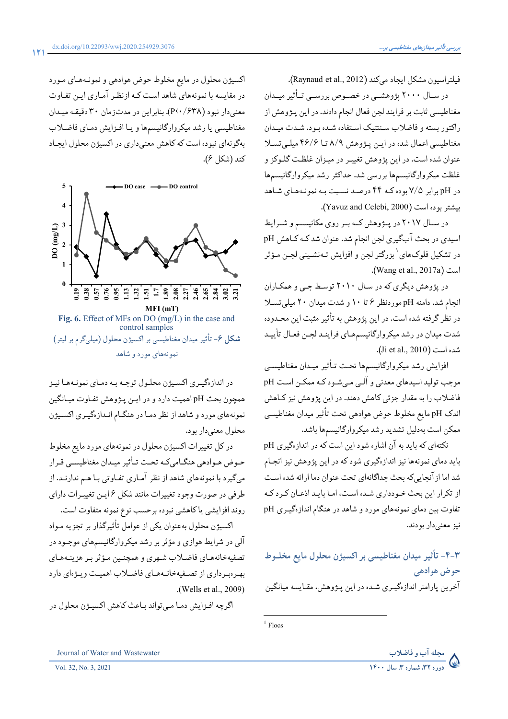فيلتراسيون مشكل ايجاد ميكند (Raynaud et al., 2012).

در سـال ۲۰۰۰ پژوهشــی در خصـوص بررســی تــأثیر میــدان مغناطیسی ثابت بر فرایند لجن فعال انجام دادند. در این پـژوهش از راکتور بسته و فاضلاب سنتتیک استفاده شـده بـود. شـدت میـدان مغناطیسی اعمال شده در این پژوهش ۸/۹ تا ۴۶/۶ میلی تسلا عنوان شده است. در این پژوهش تغییـر در میـزان غلظـت گلـوکز و غلظت میکروارگانیسمها بررسی شد. حداکثر رشد میکروارگانیسمها در pH برابر ۷/۵ بوده کـه ۴۴ درصـد نسـبت بـه نمونـههـای شـاهد بيشتر بوده است (Yavuz and Celebi, 2000).

در سـال ٢٠١٧ در پــژوهش كــه بــر روى مكانيســم و شــرايط اسیدی در بحث آبگیری لجن انجام شد. عنوان شد کـه کـاهش pH در تشکیل فلوکهای ٔ بزرگتر لجن و افزایش تـهنشـینی لجـن مـؤثر .(Wang et al., 2017a)

در یژوهش دیگری که در سال ۲۰۱۰ توسط جبی و همکـاران انجام شد. دامنه pH موردنظر ۶ تا ۱۰ و شدت میدان ۲۰ میلی تسلا در نظر گرفته شده است. در این پژوهش به تأثیر مثبت این محـدوده شدت میدان در رشد میکروارگانیسمهـای فراینـد لجـن فعـال تأييـد شده است (Ji et al., 2010).

افزايش رشد ميكروارگانيسمها تحت تـأثير ميـدان مغناطيسـي موجب تولید اسیدهای معدنی و آلـی مـیشـود کـه ممکـن اسـت pH فاضلاب را به مقدار جزئي كاهش دهند. در اين پژوهش نيز كـاهش اندک pH مایع مخلوط حوض هوادهی تحت تأثیر میدان مغناطیسی ممكن است بەدليل تشديد رشد ميكروارگانيسمها باشد.

نکتهای که باید به آن اشاره شود این است که در اندازهگیری pH باید دمای نمونهها نیز اندازهگیری شود که در این پژوهش نیز انجـام شد اما از آنجایی که بحث جداگانهای تحت عنوان دما ارائه شده است از تکرار این بحث خـودداری شـده اسـت، امـا بایـد اذعـان کـرد کـه تفاوت بین دمای نمونههای مورد و شاهد در هنگام اندازهگیری pH نيز معنى دار بودند.

۴-۴- تأثیر میدان مغناطیسی بر اکسیژن محلول مایع مخلـوط حوض هوادهي آخرین پارامتر اندازهگیـری شـده در این پـژوهش، مقـایسه میانگین

 $1$  Flocs



Vol. 32, No. 3, 2021

اکسیژن محلول در مایع مخلوط حوض هوادهی و نمونـههـای مـورد در مقایسه با نمونههای شاهد است کـه ازنظـر آمـاری ایـن تفـاوت معنی دار نبود (۶۳۸/ P<۰/۶۳۸). بنابراین در مدتزمان ۳۰ دقیقه میدان مغناطیسی یا رشد میکروارگانیسمها و یا افـزایش دمـای فاضـلاب بهگونهاي نبوده است كه كاهش معنىداري در اكسيژن محلول ايجـاد كند (شكل ۶).



control samples شکل ۶- تأثیر میدان مغناطیسی بر اکسیژن محلول (میلیگرم بر لیتر) نمونههای مورد و شاهد

در اندازهگیری اکسیژن محلول توجه به دمای نمونـههـا نیـز همچون بحث pH اهميت دارد و در ايـن پـژوهش تفـاوت ميـانگين نمونههای مورد و شاهد از نظر دما در هنگام انـدازهگیـری اکسـیژن محلول معنی دار بو د.

در کل تغییرات اکسیژن محلول در نمونههای مورد مایع مخلوط حـوض هـوادهي هنگــامي كــه تحــت تــأثير ميــدان مغناطيســي قــرار میگیرد با نمونههای شاهد از نظر آماری تفـاوتی بـا هـم ندارنـد. از طرفی در صورت وجود تغییرات مانند شکل ۱۶ین تغییـرات دارای روند افزایشی یاکاهشی نبوده برحسب نوع نمونه متفاوت است.

اکسیژن محلول بهعنوان یکی از عوامل تأثیرگذار بر تجزیه مـواد آلی در شرایط هوازی و مؤثر بر رشد میکروارگانیسمهای موجـود در تصفيهخانههـاي فاضـلاب شـهري و همچنـين مـؤثر بـر هزينـههـاي بهرهبرداري از تصفيهخانمهماي فاضلاب اهميت ويؤهاي دارد .(Wells et al., 2009)

اگرچه افـزايش دمـا مـيتواند بـاعث كاهش اكسيـژن محلول در

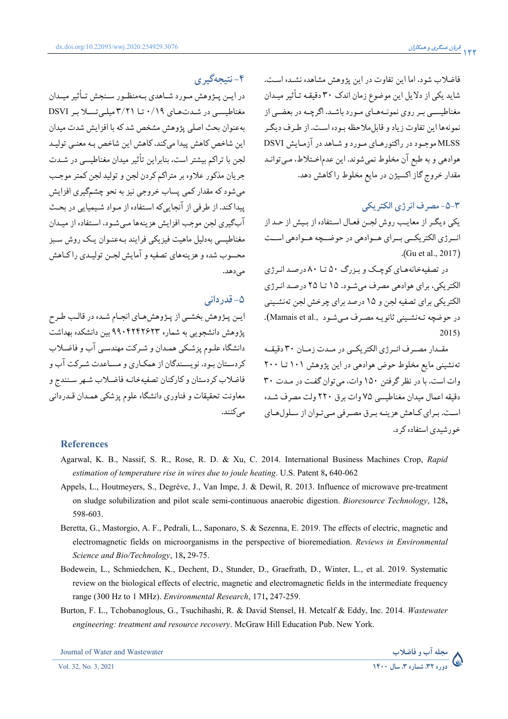فاضلاب شود، اما این تفاوت در این پژوهش مشاهده نشده است. شاید یکی از دلایل این موضوع زمان اندک ۳۰ دقیقـه تـأثیر میـدان مغناطیسبی بـر روی نمونـههـای مـورد باشـد. اگرچـه در بعضـی از نمونهها این تفاوت زیاد و قابل ملاحظه سوده است. از طبرف دیگیر MLSS موجـود در راکتورهـای مـورد و شـاهد در آزمـايش DSVI هوادهي و به طبع آن مخلوط نمي شوند. اين عدماخـتلاط، مـي توانـد مقدار خروج گاز اکسیژن در مایع مخلوط راکاهش دهد.

#### ٣-٥- مصر ف انر ژي الکتر يکي

یکی دیگر از معایب روش لجـن فعـال اسـتفاده از بـیش از حـد از انــرژي الكتريكــي بــراي هــوادهي در حوضــچه هــوادهي اســت  $.(Gu et al., 2017))$ 

در تصفیهخانههای کوچک و بزرگ ۵۰ تا ۸۰ درصد انرژی الکتریکی، برای هوادهی مصرف می شـود. ۱۵ تــا ۲۵ درصـد انـرژی الکتریکی برای تصفیه لجن و ۱۵ درصد برای چرخش لجن تهنشـینی در حوضچه تـهنشـيني ثانويـه مصـرف مـيشـود ,Mamais et al).  $2015$ 

مقـدار مصـرف انـرژى الكتريكـي در مـدت زمـان ٣٠ دقيقـه تهنشینی مایع مخلوط حوض هوادهی در این پژوهش ۱۰۱ تیا ۲۰۰ وات است. با در نظر گرفتن ۱۵۰ وات، می توان گفت در مـدت ۳۰ دقيقه اعمال ميدان مغناطيسي ٧۵ وات برق ٢٢٠ ولت مصرف شده است. بـراي كـاهش هزينــه بـرق مصـرفي مـيتـوان از سـلولهـاي خورشیدی استفاده کر د.

## ۴-نتيجەگىرى

در ایــن پــژوهش مــورد شــاهدي بــهمنظــور ســنجش تــأثير ميــدان مغناطیسی در شدتهای ۰/۱۹ تا ۳/۲۱میلی تسلابر DSVI بهعنوان بحث اصلي يژوهش مشخص شدكه با افزايش شدت ميدان این شاخص کاهش پیدا میکند. کاهش این شاخص بـه معنـی تولیـد لجن با تراکم بیشتر است، بنابراین تأثیر میدان مغناطیسی در شـدت جريان مذكور علاوه بر متراكم كردن لجن و توليد لجن كمتر موجب مي شود كه مقدار كمي پساب خروجي نيز به نحو چشمگيري افزايش ییداکند. از طرفی از آنجاییکه استفاده از مواد شیمیایی در بحث آبگیری لجن موجب افزایش هزینهها مے شـود، اسـتفاده از میـدان مغناطیسی به دلیل ماهیت فیزیکی فرایند به عنبوان یک روش سیز محسوب شده و هزينههاي تصفيه و آمايش لجــن توليــدي راكــاهش مے ردھد۔

### ۵- قدردانی

ايـن پـژوهش بخشـي از پـژوهش هـاي انجـام شـده در قالـب طـرح یژوهش دانشجویی به شماره ۹۹۰۴۲۴۲۶۲۳ بین دانشکده بهداشت دانشگاه علـوم پزشـکي همـدان و شـرکت مهندسـي آب و فاضـلاب کردستان بود. نویسندگان از همکـاری و مسـاعدت شـرکت آب و فاضلاب كردستان وكاركنان تصفيهخانيه فاضلاب شبهر سنندج و معاونت تحقیقات و فناوری دانشگاه علوم پزشکی همـدان قـدردانی مہ کنند.

#### **References**

- Agarwal, K. B., Nassif, S. R., Rose, R. D. & Xu, C. 2014. International Business Machines Crop, Rapid estimation of temperature rise in wires due to joule heating. U.S. Patent 8, 640-062
- Appels, L., Houtmeyers, S., Degrève, J., Van Impe, J. & Dewil, R. 2013. Influence of microwave pre-treatment on sludge solubilization and pilot scale semi-continuous anaerobic digestion. Bioresource Technology, 128, 598-603.
- Beretta, G., Mastorgio, A. F., Pedrali, L., Saponaro, S. & Sezenna, E. 2019. The effects of electric, magnetic and electromagnetic fields on microorganisms in the perspective of bioremediation. Reviews in Environmental Science and Bio/Technology, 18, 29-75.
- Bodewein, L., Schmiedchen, K., Dechent, D., Stunder, D., Graefrath, D., Winter, L., et al. 2019. Systematic review on the biological effects of electric, magnetic and electromagnetic fields in the intermediate frequency range (300 Hz to 1 MHz). Environmental Research, 171, 247-259.
- Burton, F. L., Tchobanoglous, G., Tsuchihashi, R. & David Stensel, H. Metcalf & Eddy, Inc. 2014. Wastewater engineering: treatment and resource recovery. McGraw Hill Education Pub. New York.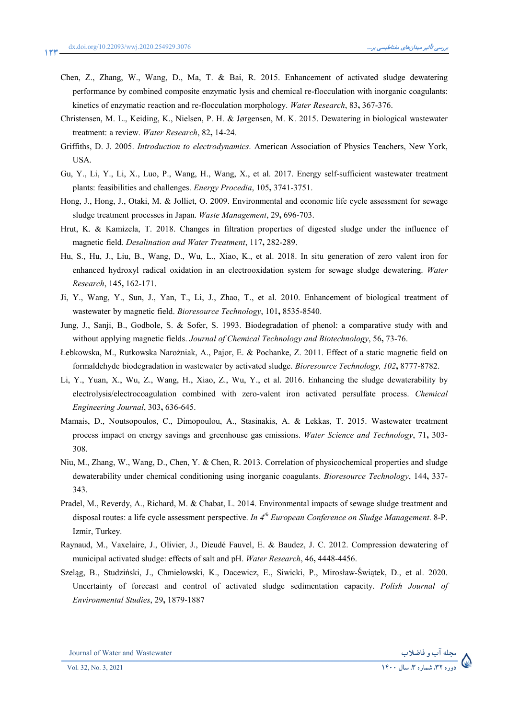مجله اب و فاض

- Chen, Z., Zhang, W., Wang, D., Ma, T. & Bai, R. 2015. Enhancement of activated sludge dewatering performance by combined composite enzymatic lysis and chemical re-flocculation with inorganic coagulants: kinetics of enzymatic reaction and re-flocculation morphology. *Water Research*, 83**,** 367-376.
- Christensen, M. L., Keiding, K., Nielsen, P. H. & Jørgensen, M. K. 2015. Dewatering in biological wastewater treatment: a review. *Water Research*, 82**,** 14-24.
- Griffiths, D. J. 2005. *Introduction to electrodynamics*. American Association of Physics Teachers, New York, USA.
- Gu, Y., Li, Y., Li, X., Luo, P., Wang, H., Wang, X., et al. 2017. Energy self-sufficient wastewater treatment plants: feasibilities and challenges. *Energy Procedia*, 105**,** 3741-3751.
- Hong, J., Hong, J., Otaki, M. & Jolliet, O. 2009. Environmental and economic life cycle assessment for sewage sludge treatment processes in Japan. *Waste Management*, 29**,** 696-703.
- Hrut, K. & Kamizela, T. 2018. Changes in filtration properties of digested sludge under the influence of magnetic field. *Desalination and Water Treatment*, 117**,** 282-289.
- Hu, S., Hu, J., Liu, B., Wang, D., Wu, L., Xiao, K., et al. 2018. In situ generation of zero valent iron for enhanced hydroxyl radical oxidation in an electrooxidation system for sewage sludge dewatering. *Water Research*, 145**,** 162-171.
- Ji, Y., Wang, Y., Sun, J., Yan, T., Li, J., Zhao, T., et al. 2010. Enhancement of biological treatment of wastewater by magnetic field. *Bioresource Technology*, 101**,** 8535-8540.
- Jung, J., Sanji, B., Godbole, S. & Sofer, S. 1993. Biodegradation of phenol: a comparative study with and without applying magnetic fields. *Journal of Chemical Technology and Biotechnology*, 56**,** 73-76.
- Lebkowska, M., Rutkowska Narożniak, A., Pajor, E. & Pochanke, Z. 2011. Effect of a static magnetic field on formaldehyde biodegradation in wastewater by activated sludge. *Bioresource Technology, 102***,** 8777-8782.
- Li, Y., Yuan, X., Wu, Z., Wang, H., Xiao, Z., Wu, Y., et al. 2016. Enhancing the sludge dewaterability by electrolysis/electrocoagulation combined with zero-valent iron activated persulfate process. *Chemical Engineering Journal*, 303**,** 636-645.
- Mamais, D., Noutsopoulos, C., Dimopoulou, A., Stasinakis, A. & Lekkas, T. 2015. Wastewater treatment process impact on energy savings and greenhouse gas emissions. *Water Science and Technology*, 71**,** 303- 308.
- Niu, M., Zhang, W., Wang, D., Chen, Y. & Chen, R. 2013. Correlation of physicochemical properties and sludge dewaterability under chemical conditioning using inorganic coagulants. *Bioresource Technology*, 144**,** 337- 343.
- Pradel, M., Reverdy, A., Richard, M. & Chabat, L. 2014. Environmental impacts of sewage sludge treatment and disposal routes: a life cycle assessment perspective. *In 4th European Conference on Sludge Management*. 8-P. Izmir, Turkey.
- Raynaud, M., Vaxelaire, J., Olivier, J., Dieudé Fauvel, E. & Baudez, J. C. 2012. Compression dewatering of municipal activated sludge: effects of salt and pH. *Water Research*, 46**,** 4448-4456.
- Szelag, B., Studziński, J., Chmielowski, K., Dacewicz, E., Siwicki, P., Mirosław-Świątek, D., et al. 2020. Uncertainty of forecast and control of activated sludge sedimentation capacity. *Polish Journal of Environmental Studies*, 29**,** 1879-1887